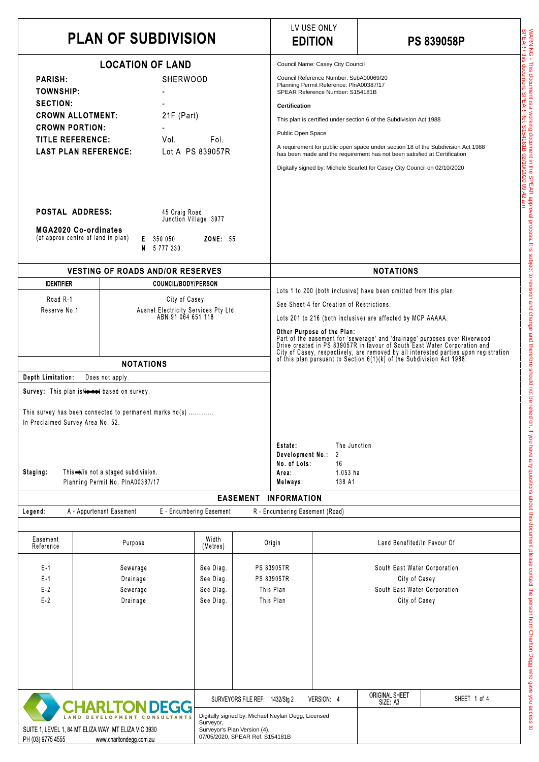|                                                                                                                                                                                                                                                                                                                                   | <b>PLAN OF SUBDIVISION</b>                                                                                                                                                                                  |                                                                                                   |                                                    |                                                                                                                                                      | LV USE ONLY<br><b>EDITION</b>                                                                                                                                                                                                                                                                                                                                                                                                                      | <b>PS 839058P</b>                                                                                                                                                                                                                                                                                                 |  |  |
|-----------------------------------------------------------------------------------------------------------------------------------------------------------------------------------------------------------------------------------------------------------------------------------------------------------------------------------|-------------------------------------------------------------------------------------------------------------------------------------------------------------------------------------------------------------|---------------------------------------------------------------------------------------------------|----------------------------------------------------|------------------------------------------------------------------------------------------------------------------------------------------------------|----------------------------------------------------------------------------------------------------------------------------------------------------------------------------------------------------------------------------------------------------------------------------------------------------------------------------------------------------------------------------------------------------------------------------------------------------|-------------------------------------------------------------------------------------------------------------------------------------------------------------------------------------------------------------------------------------------------------------------------------------------------------------------|--|--|
| <b>LOCATION OF LAND</b><br><b>PARISH:</b><br><b>SHERWOOD</b><br><b>TOWNSHIP:</b><br><b>SECTION:</b><br>$21F$ (Part)<br><b>CROWN ALLOTMENT:</b><br><b>CROWN PORTION:</b><br><b>TITLE REFERENCE:</b><br>Vol.<br><b>LAST PLAN REFERENCE:</b><br>Lot A PS 839057R<br><b>POSTAL ADDRESS:</b><br>45 Craig Road<br>Junction Village 3977 |                                                                                                                                                                                                             |                                                                                                   |                                                    | <b>Certification</b><br>Public Open Space                                                                                                            | Council Name: Casey City Council<br>Council Reference Number: SubA00069/20<br>Planning Permit Reference: PlnA00387/17<br>SPEAR Reference Number: S154181B                                                                                                                                                                                                                                                                                          | This plan is certified under section 6 of the Subdivision Act 1988<br>A requirement for public open space under section 18 of the Subdivision Act 1988<br>has been made and the requirement has not been satisfied at Certification<br>Digitally signed by: Michele Scarlett for Casey City Council on 02/10/2020 |  |  |
| <b>MGA2020 Co-ordinates</b><br>(of approx centre of land in plan)                                                                                                                                                                                                                                                                 | E 350 050<br>N 5777230                                                                                                                                                                                      | <b>ZONE: 55</b>                                                                                   |                                                    |                                                                                                                                                      |                                                                                                                                                                                                                                                                                                                                                                                                                                                    |                                                                                                                                                                                                                                                                                                                   |  |  |
|                                                                                                                                                                                                                                                                                                                                   | <b>VESTING OF ROADS AND/OR RESERVES</b>                                                                                                                                                                     |                                                                                                   |                                                    | <b>NOTATIONS</b>                                                                                                                                     |                                                                                                                                                                                                                                                                                                                                                                                                                                                    |                                                                                                                                                                                                                                                                                                                   |  |  |
| <b>IDENTIFIER</b><br>Road R-1<br>Reserve No.1                                                                                                                                                                                                                                                                                     |                                                                                                                                                                                                             | COUNCIL/BODY/PERSON<br>City of Casey<br>Ausnet Electricity Services Pty Ltd<br>ABN 91 064 651 118 |                                                    |                                                                                                                                                      | Lots 1 to 200 (both inclusive) have been omitted from this plan.<br>See Sheet 4 for Creation of Restrictions.<br>Lots 201 to 216 (both inclusive) are affected by MCP AAAAA.<br>Other Purpose of the Plan:<br>Part of the easement for 'sewerage' and 'drainage' purposes over Riverwood<br>Drive created in PS 839057R in favour of South East Water Corporation and<br>City of Casey, respectively, are removed by all interested parties upon r |                                                                                                                                                                                                                                                                                                                   |  |  |
|                                                                                                                                                                                                                                                                                                                                   | <b>NOTATIONS</b>                                                                                                                                                                                            |                                                                                                   |                                                    |                                                                                                                                                      |                                                                                                                                                                                                                                                                                                                                                                                                                                                    |                                                                                                                                                                                                                                                                                                                   |  |  |
| Depth Limitation:<br>In Proclaimed Survey Area No. 52.<br>Staging:                                                                                                                                                                                                                                                                | Does not apply.<br>Survey: This plan is/ is hased on survey.<br>This survey has been connected to permanent marks no(s)<br>This <b>ie</b> /is not a staged subdivision.<br>Planning Permit No. PInA00387/17 |                                                                                                   |                                                    | <b>Estate</b><br>Development No.:<br>No. of Lots:<br>Area .<br>Melways:                                                                              | The Junction<br>16<br>1.053 ha<br>138 A1                                                                                                                                                                                                                                                                                                                                                                                                           |                                                                                                                                                                                                                                                                                                                   |  |  |
|                                                                                                                                                                                                                                                                                                                                   |                                                                                                                                                                                                             |                                                                                                   | <b>EASEMENT</b>                                    | <b>INFORMATION</b>                                                                                                                                   |                                                                                                                                                                                                                                                                                                                                                                                                                                                    |                                                                                                                                                                                                                                                                                                                   |  |  |
| Legend                                                                                                                                                                                                                                                                                                                            | A - Appurtenant Easement                                                                                                                                                                                    | E - Encumbering Easement                                                                          |                                                    | R - Encumbering Easement (Road)                                                                                                                      |                                                                                                                                                                                                                                                                                                                                                                                                                                                    |                                                                                                                                                                                                                                                                                                                   |  |  |
| Easement<br>Reference                                                                                                                                                                                                                                                                                                             | Purpose                                                                                                                                                                                                     | Width<br>(Metres)                                                                                 |                                                    | Origin                                                                                                                                               |                                                                                                                                                                                                                                                                                                                                                                                                                                                    | Land Benefited/In Favour Of                                                                                                                                                                                                                                                                                       |  |  |
| $E-1$<br>$E-1$<br>$E-2$<br>$E-2$                                                                                                                                                                                                                                                                                                  | Sewerage<br>Drainage<br>Sewerage<br>Drainage                                                                                                                                                                | See Diag<br>See Diag<br>See Diag<br>See Diag                                                      |                                                    | PS 839057R<br>South East Water Corporation<br>PS 839057R<br>City of Casey<br>This Plan<br>South East Water Corporation<br>This Plan<br>City of Casey |                                                                                                                                                                                                                                                                                                                                                                                                                                                    |                                                                                                                                                                                                                                                                                                                   |  |  |
|                                                                                                                                                                                                                                                                                                                                   | <b>CHARLTON DEGG</b><br>SUITE 1, LEVEL 1, 84 MT ELIZA WAY, MT ELIZA VIC 3930                                                                                                                                | Surveyor,                                                                                         | SURVEYORS FILE REF<br>Surveyor's Plan Version (4), | 1432/Stg 2<br>Digitally signed by: Michael Neylan Degg, Licensed                                                                                     | VERSION: 4                                                                                                                                                                                                                                                                                                                                                                                                                                         | <b>ORIGINAL SHEET</b><br>SHEET 1 of 4<br>SIZE A3                                                                                                                                                                                                                                                                  |  |  |

 $\overline{\phantom{0}}$ 

| $E-1$<br>Drainage                                                                                                                                            |       | PS 839057R<br>See Diag |                       |                                                                                                                       | City of Casey |                                  |              |  |
|--------------------------------------------------------------------------------------------------------------------------------------------------------------|-------|------------------------|-----------------------|-----------------------------------------------------------------------------------------------------------------------|---------------|----------------------------------|--------------|--|
|                                                                                                                                                              | $E-2$ | Sewerage               | This Plan<br>See Diag |                                                                                                                       |               | South East Water Corporation     |              |  |
|                                                                                                                                                              | $E-2$ | Drainage               | See Diag              | This Plan                                                                                                             |               | City of Casey                    |              |  |
|                                                                                                                                                              |       |                        |                       | SURVEYORS FILE REF: 1432/Stg 2                                                                                        | VERSION 4     | <b>ORIGINAL SHEET</b><br>SIZE A3 | SHEET 1 of 4 |  |
| <b>CHARLTON DEGG</b><br>LAND DEVELOPMENT CONSULTANTS<br>SUITE 1, LEVEL 1, 84 MT ELIZA WAY, MT ELIZA VIC 3930<br>www.charltondegg.com.au<br>PH (03) 9775 4555 |       |                        | Surveyor,             | Digitally signed by: Michael Neylan Degg, Licensed<br>Surveyor's Plan Version (4),<br>07/05/2020, SPEAR Ref: S154181B |               |                                  |              |  |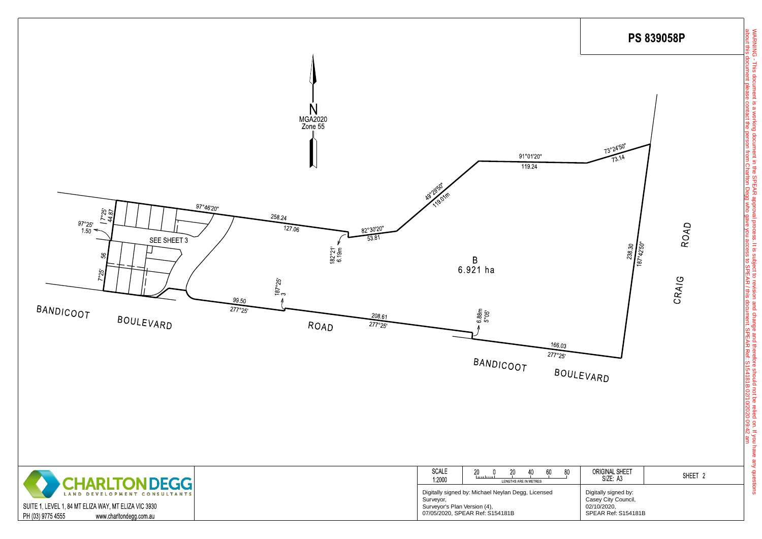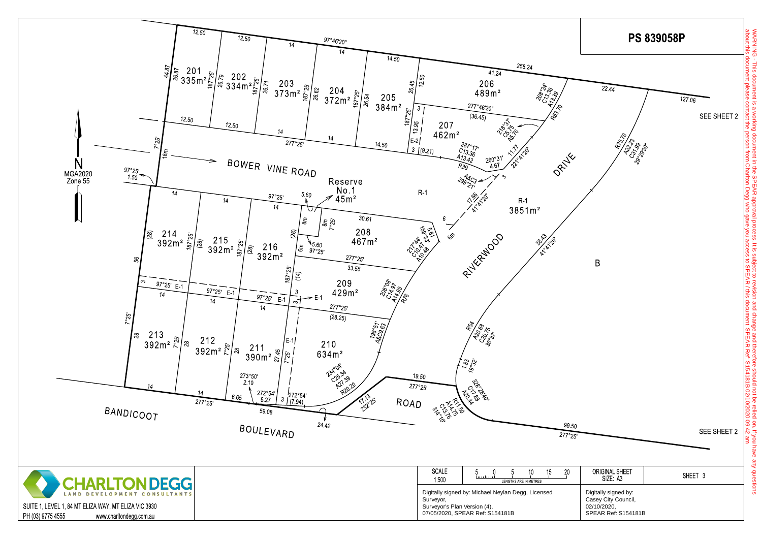